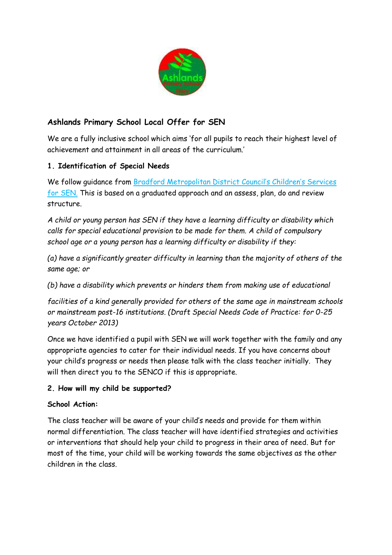

# **Ashlands Primary School Local Offer for SEN**

We are a fully inclusive school which aims 'for all pupils to reach their highest level of achievement and attainment in all areas of the curriculum.'

## **1. Identification of Special Needs**

We follow guidance from Bradford Metropolitan District Council's Children's Services for SEN. This is based on a graduated approach and an assess, plan, do and review structure.

*A child or young person has SEN if they have a learning difficulty or disability which calls for special educational provision to be made for them. A child of compulsory school age or a young person has a learning difficulty or disability if they:*

*(a) have a significantly greater difficulty in learning than the majority of others of the same age; or*

*(b) have a disability which prevents or hinders them from making use of educational*

*facilities of a kind generally provided for others of the same age in mainstream schools or mainstream post-16 institutions. (Draft Special Needs Code of Practice: for 0-25 years October 2013)*

Once we have identified a pupil with SEN we will work together with the family and any appropriate agencies to cater for their individual needs. If you have concerns about your child's progress or needs then please talk with the class teacher initially. They will then direct you to the SENCO if this is appropriate.

### **2. How will my child be supported?**

### **School Action:**

The class teacher will be aware of your child's needs and provide for them within normal differentiation. The class teacher will have identified strategies and activities or interventions that should help your child to progress in their area of need. But for most of the time, your child will be working towards the same objectives as the other children in the class.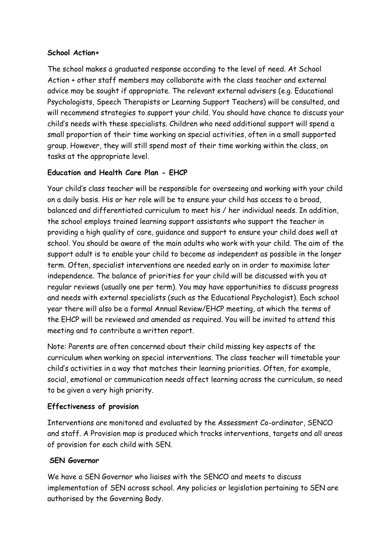#### **School Action+**

The school makes a graduated response according to the level of need. At School Action + other staff members may collaborate with the class teacher and external advice may be sought if appropriate. The relevant external advisers (e.g. Educational Psychologists, Speech Therapists or Learning Support Teachers) will be consulted, and will recommend strategies to support your child. You should have chance to discuss your child's needs with these specialists. Children who need additional support will spend a small proportion of their time working on special activities, often in a small supported group. However, they will still spend most of their time working within the class, on tasks at the appropriate level.

### **Education and Health Care Plan - EHCP**

Your child's class teacher will be responsible for overseeing and working with your child on a daily basis. His or her role will be to ensure your child has access to a broad, balanced and differentiated curriculum to meet his / her individual needs. In addition, the school employs trained learning support assistants who support the teacher in providing a high quality of care, guidance and support to ensure your child does well at school. You should be aware of the main adults who work with your child. The aim of the support adult is to enable your child to become as independent as possible in the longer term. Often, specialist interventions are needed early on in order to maximise later independence. The balance of priorities for your child will be discussed with you at regular reviews (usually one per term). You may have opportunities to discuss progress and needs with external specialists (such as the Educational Psychologist). Each school year there will also be a formal Annual Review/EHCP meeting, at which the terms of the EHCP will be reviewed and amended as required. You will be invited to attend this meeting and to contribute a written report.

Note: Parents are often concerned about their child missing key aspects of the curriculum when working on special interventions. The class teacher will timetable your child's activities in a way that matches their learning priorities. Often, for example, social, emotional or communication needs affect learning across the curriculum, so need to be given a very high priority.

### **Effectiveness of provision**

Interventions are monitored and evaluated by the Assessment Co-ordinator, SENCO and staff. A Provision map is produced which tracks interventions, targets and all areas of provision for each child with SEN.

### **SEN Governor**

We have a SEN Governor who liaises with the SENCO and meets to discuss implementation of SEN across school. Any policies or legislation pertaining to SEN are authorised by the Governing Body.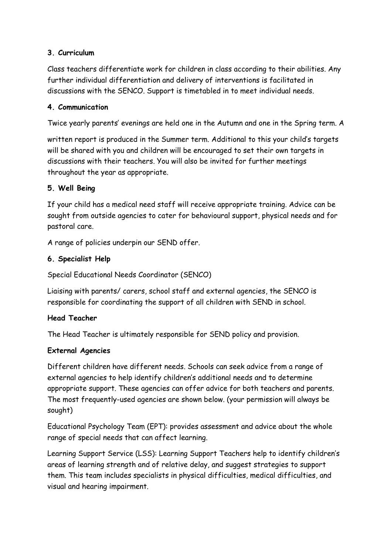### **3. Curriculum**

Class teachers differentiate work for children in class according to their abilities. Any further individual differentiation and delivery of interventions is facilitated in discussions with the SENCO. Support is timetabled in to meet individual needs.

### **4. Communication**

Twice yearly parents' evenings are held one in the Autumn and one in the Spring term. A

written report is produced in the Summer term. Additional to this your child's targets will be shared with you and children will be encouraged to set their own targets in discussions with their teachers. You will also be invited for further meetings throughout the year as appropriate.

### **5. Well Being**

If your child has a medical need staff will receive appropriate training. Advice can be sought from outside agencies to cater for behavioural support, physical needs and for pastoral care.

A range of policies underpin our SEND offer.

### **6. Specialist Help**

Special Educational Needs Coordinator (SENCO)

Liaising with parents/ carers, school staff and external agencies, the SENCO is responsible for coordinating the support of all children with SEND in school.

### **Head Teacher**

The Head Teacher is ultimately responsible for SEND policy and provision.

### **External Agencies**

Different children have different needs. Schools can seek advice from a range of external agencies to help identify children's additional needs and to determine appropriate support. These agencies can offer advice for both teachers and parents. The most frequently-used agencies are shown below. (your permission will always be sought)

Educational Psychology Team (EPT): provides assessment and advice about the whole range of special needs that can affect learning.

Learning Support Service (LSS): Learning Support Teachers help to identify children's areas of learning strength and of relative delay, and suggest strategies to support them. This team includes specialists in physical difficulties, medical difficulties, and visual and hearing impairment.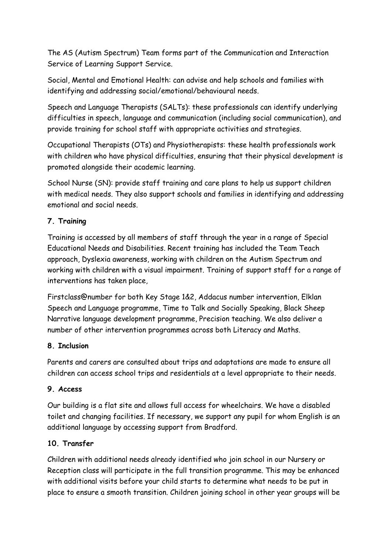The AS (Autism Spectrum) Team forms part of the Communication and Interaction Service of Learning Support Service.

Social, Mental and Emotional Health: can advise and help schools and families with identifying and addressing social/emotional/behavioural needs.

Speech and Language Therapists (SALTs): these professionals can identify underlying difficulties in speech, language and communication (including social communication), and provide training for school staff with appropriate activities and strategies.

Occupational Therapists (OTs) and Physiotherapists: these health professionals work with children who have physical difficulties, ensuring that their physical development is promoted alongside their academic learning.

School Nurse (SN): provide staff training and care plans to help us support children with medical needs. They also support schools and families in identifying and addressing emotional and social needs.

## **7. Training**

Training is accessed by all members of staff through the year in a range of Special Educational Needs and Disabilities. Recent training has included the Team Teach approach, Dyslexia awareness, working with children on the Autism Spectrum and working with children with a visual impairment. Training of support staff for a range of interventions has taken place,

Firstclass@number for both Key Stage 1&2, Addacus number intervention, Elklan Speech and Language programme, Time to Talk and Socially Speaking, Black Sheep Narrative language development programme, Precision teaching. We also deliver a number of other intervention programmes across both Literacy and Maths.

## **8. Inclusion**

Parents and carers are consulted about trips and adaptations are made to ensure all children can access school trips and residentials at a level appropriate to their needs.

## **9. Access**

Our building is a flat site and allows full access for wheelchairs. We have a disabled toilet and changing facilities. If necessary, we support any pupil for whom English is an additional language by accessing support from Bradford.

## **10. Transfer**

Children with additional needs already identified who join school in our Nursery or Reception class will participate in the full transition programme. This may be enhanced with additional visits before your child starts to determine what needs to be put in place to ensure a smooth transition. Children joining school in other year groups will be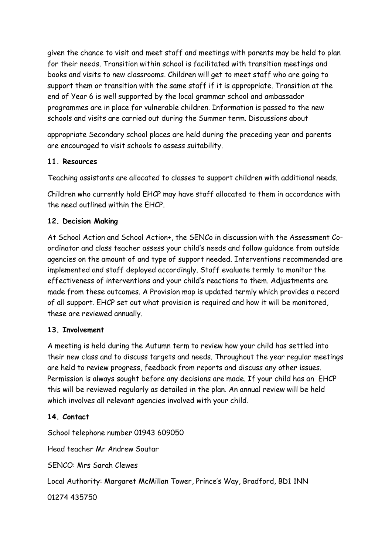given the chance to visit and meet staff and meetings with parents may be held to plan for their needs. Transition within school is facilitated with transition meetings and books and visits to new classrooms. Children will get to meet staff who are going to support them or transition with the same staff if it is appropriate. Transition at the end of Year 6 is well supported by the local grammar school and ambassador programmes are in place for vulnerable children. Information is passed to the new schools and visits are carried out during the Summer term. Discussions about

appropriate Secondary school places are held during the preceding year and parents are encouraged to visit schools to assess suitability.

### **11. Resources**

Teaching assistants are allocated to classes to support children with additional needs.

Children who currently hold EHCP may have staff allocated to them in accordance with the need outlined within the EHCP.

### **12. Decision Making**

At School Action and School Action+, the SENCo in discussion with the Assessment Coordinator and class teacher assess your child's needs and follow guidance from outside agencies on the amount of and type of support needed. Interventions recommended are implemented and staff deployed accordingly. Staff evaluate termly to monitor the effectiveness of interventions and your child's reactions to them. Adjustments are made from these outcomes. A Provision map is updated termly which provides a record of all support. EHCP set out what provision is required and how it will be monitored, these are reviewed annually.

### **13. Involvement**

A meeting is held during the Autumn term to review how your child has settled into their new class and to discuss targets and needs. Throughout the year regular meetings are held to review progress, feedback from reports and discuss any other issues. Permission is always sought before any decisions are made. If your child has an EHCP this will be reviewed regularly as detailed in the plan. An annual review will be held which involves all relevant agencies involved with your child.

### **14. Contact**

School telephone number 01943 609050

Head teacher Mr Andrew Soutar

SENCO: Mrs Sarah Clewes

Local Authority: Margaret McMillan Tower, Prince's Way, Bradford, BD1 1NN

01274 435750